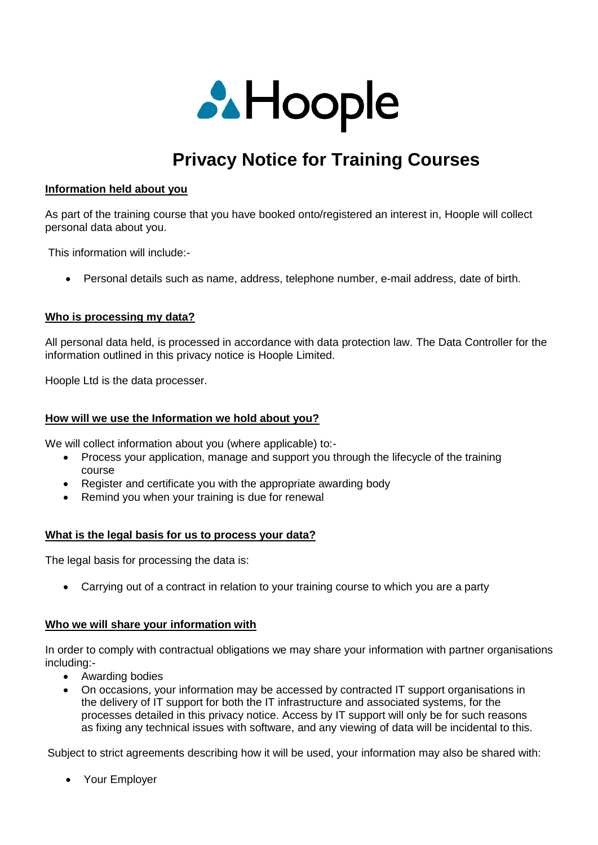

# **Privacy Notice for Training Courses**

## **Information held about you**

As part of the training course that you have booked onto/registered an interest in, Hoople will collect personal data about you.

This information will include:-

Personal details such as name, address, telephone number, e-mail address, date of birth.

### **Who is processing my data?**

All personal data held, is processed in accordance with data protection law. The Data Controller for the information outlined in this privacy notice is Hoople Limited.

Hoople Ltd is the data processer.

## **How will we use the Information we hold about you?**

We will collect information about you (where applicable) to:-

- Process your application, manage and support you through the lifecycle of the training course
- Register and certificate you with the appropriate awarding body
- Remind you when your training is due for renewal

### **What is the legal basis for us to process your data?**

The legal basis for processing the data is:

Carrying out of a contract in relation to your training course to which you are a party

### **Who we will share your information with**

In order to comply with contractual obligations we may share your information with partner organisations including:-

- Awarding bodies
- On occasions, your information may be accessed by contracted IT support organisations in the delivery of IT support for both the IT infrastructure and associated systems, for the processes detailed in this privacy notice. Access by IT support will only be for such reasons as fixing any technical issues with software, and any viewing of data will be incidental to this.

Subject to strict agreements describing how it will be used, your information may also be shared with:

Your Employer